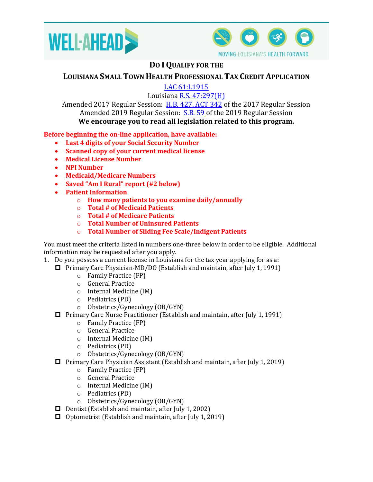



## **DO IQUALIFY FOR THE**

## **LOUISIANA SMALL TOWN HEALTH PROFESSIONAL TAX CREDIT APPLICATION**

[LAC 61:I.1915](https://www.doa.la.gov/Pages/osr/lac/books.aspx)

Louisiana [R.S. 47:297\(H\)](http://legis.la.gov/Legis/Law.aspx?d=101765)

Amended 2017 Regular Session: [H.B. 427, ACT 342](http://www.legis.la.gov/legis/BillInfo.aspx?s=17RS&b=HB427&sbi=y) of the 2017 Regular Session Amended 2019 Regular Session: [S.B. 59](http://www.legis.la.gov/Legis/BillInfo.aspx?s=19RS&b=SB59&sbi=y) of the 2019 Regular Session **We encourage you to read all legislation related to this program.**

## **Before beginning the on-line application, have available:**

- **Last 4 digits of your Social Security Number**
- **Scanned copy of your current medical license**
- **Medical License Number**
- **NPI Number**
- **Medicaid/Medicare Numbers**
- **Saved "Am I Rural" report (#2 below)**
- **Patient Information**
	- o **How many patients to you examine daily/annually**
	- o **Total # of Medicaid Patients**
	- o **Total # of Medicare Patients**
	- o **Total Number of Uninsured Patients**
	- o **Total Number of Sliding Fee Scale/Indigent Patients**

You must meet the criteria listed in numbers one-three below in order to be eligible. Additional information may be requested after you apply.

- 1. Do you possess a current license in Louisiana for the tax year applying for as a:
	- □ Primary Care Physician-MD/DO (Establish and maintain, after July 1, 1991)
		- o Family Practice (FP)
		- o General Practice
		- o Internal Medicine (IM)
		- o Pediatrics (PD)
		- o Obstetrics/Gynecology (OB/GYN)
	- Primary Care Nurse Practitioner (Establish and maintain, after July 1, 1991)
		- o Family Practice (FP)
		- o General Practice
		- o Internal Medicine (IM)
		- o Pediatrics (PD)
		- o Obstetrics/Gynecology (OB/GYN)
	- Primary Care Physician Assistant (Establish and maintain, after July 1, 2019)
		- o Family Practice (FP)
		- o General Practice
		- o Internal Medicine (IM)
		- o Pediatrics (PD)
		- o Obstetrics/Gynecology (OB/GYN)
	- **D** Dentist (Establish and maintain, after July 1, 2002)
	- $\Box$  Optometrist (Establish and maintain, after July 1, 2019)